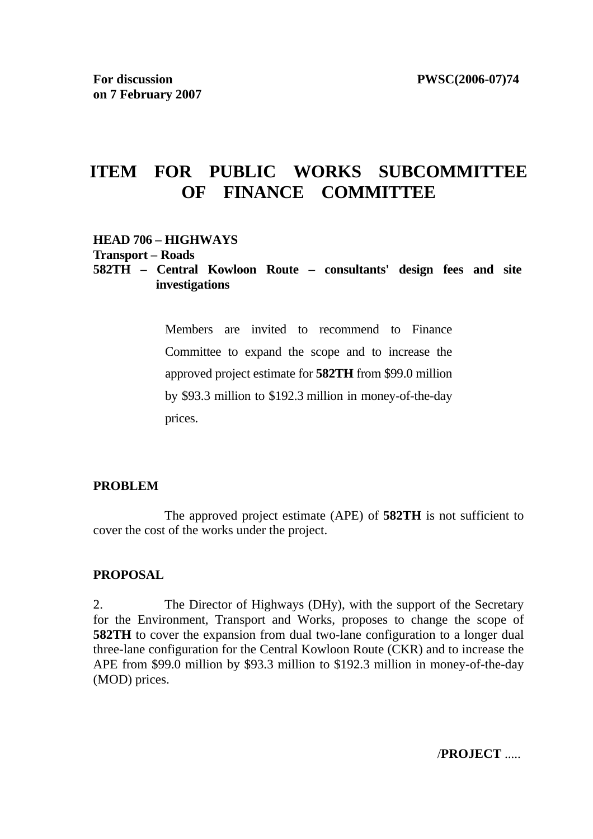# **ITEM FOR PUBLIC WORKS SUBCOMMITTEE OF FINANCE COMMITTEE**

#### **HEAD 706 – HIGHWAYS**

**Transport – Roads** 

# **582TH – Central Kowloon Route – consultants' design fees and site investigations**

Members are invited to recommend to Finance Committee to expand the scope and to increase the approved project estimate for **582TH** from \$99.0 million by \$93.3 million to \$192.3 million in money-of-the-day prices.

#### **PROBLEM**

 The approved project estimate (APE) of **582TH** is not sufficient to cover the cost of the works under the project.

#### **PROPOSAL**

2. The Director of Highways (DHy), with the support of the Secretary for the Environment, Transport and Works, proposes to change the scope of **582TH** to cover the expansion from dual two-lane configuration to a longer dual three-lane configuration for the Central Kowloon Route (CKR) and to increase the APE from \$99.0 million by \$93.3 million to \$192.3 million in money-of-the-day (MOD) prices.

/**PROJECT** .....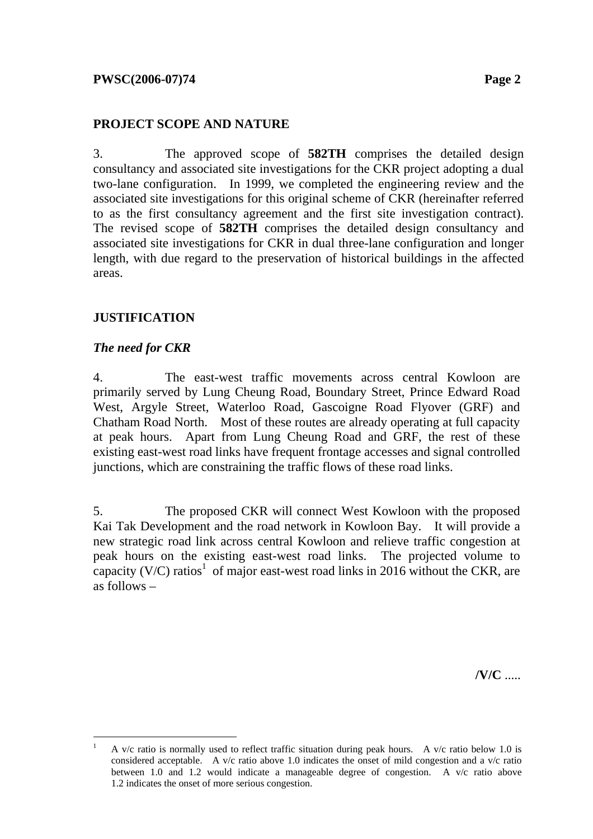# **PROJECT SCOPE AND NATURE**

3. The approved scope of **582TH** comprises the detailed design consultancy and associated site investigations for the CKR project adopting a dual two-lane configuration. In 1999, we completed the engineering review and the associated site investigations for this original scheme of CKR (hereinafter referred to as the first consultancy agreement and the first site investigation contract). The revised scope of **582TH** comprises the detailed design consultancy and associated site investigations for CKR in dual three-lane configuration and longer length, with due regard to the preservation of historical buildings in the affected areas.

# **JUSTIFICATION**

# *The need for CKR*

4. The east-west traffic movements across central Kowloon are primarily served by Lung Cheung Road, Boundary Street, Prince Edward Road West, Argyle Street, Waterloo Road, Gascoigne Road Flyover (GRF) and Chatham Road North. Most of these routes are already operating at full capacity at peak hours. Apart from Lung Cheung Road and GRF, the rest of these existing east-west road links have frequent frontage accesses and signal controlled junctions, which are constraining the traffic flows of these road links.

5. The proposed CKR will connect West Kowloon with the proposed Kai Tak Development and the road network in Kowloon Bay. It will provide a new strategic road link across central Kowloon and relieve traffic congestion at peak hours on the existing east-west road links. The projected volume to capacity (V/C) ratios<sup>1</sup> of major east-west road links in 2016 without the CKR, are as follows –

**/V/C** .....

 $\frac{1}{1}$ A  $v/c$  ratio is normally used to reflect traffic situation during peak hours. A  $v/c$  ratio below 1.0 is considered acceptable. A v/c ratio above 1.0 indicates the onset of mild congestion and a v/c ratio between 1.0 and 1.2 would indicate a manageable degree of congestion. A v/c ratio above 1.2 indicates the onset of more serious congestion.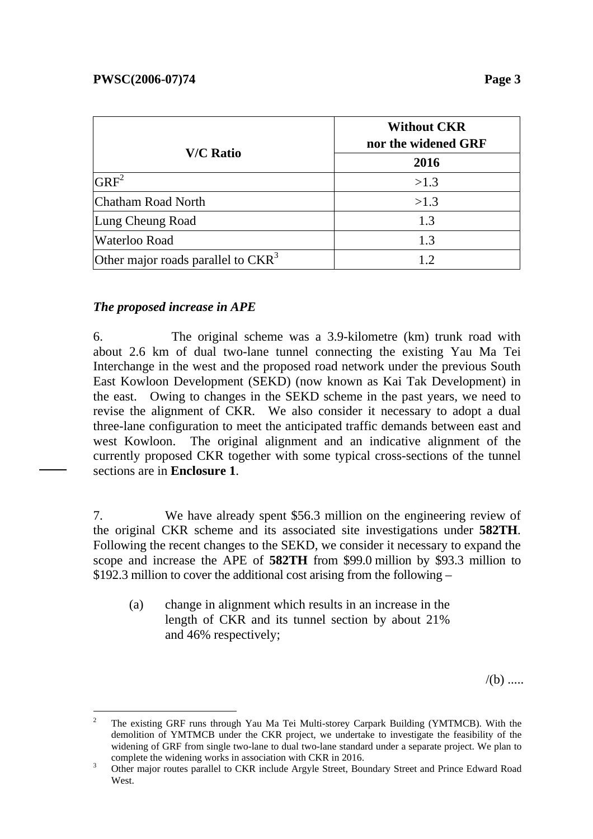|                                      | <b>Without CKR</b><br>nor the widened GRF |  |  |
|--------------------------------------|-------------------------------------------|--|--|
| <b>V/C Ratio</b>                     | 2016                                      |  |  |
| $GRF^2$                              | >1.3                                      |  |  |
| Chatham Road North                   | >1.3                                      |  |  |
| Lung Cheung Road                     | 1.3                                       |  |  |
| <b>Waterloo Road</b>                 | 1.3                                       |  |  |
| Other major roads parallel to $CKR3$ |                                           |  |  |

# *The proposed increase in APE*

6. The original scheme was a 3.9-kilometre (km) trunk road with about 2.6 km of dual two-lane tunnel connecting the existing Yau Ma Tei Interchange in the west and the proposed road network under the previous South East Kowloon Development (SEKD) (now known as Kai Tak Development) in the east. Owing to changes in the SEKD scheme in the past years, we need to revise the alignment of CKR. We also consider it necessary to adopt a dual three-lane configuration to meet the anticipated traffic demands between east and west Kowloon. The original alignment and an indicative alignment of the currently proposed CKR together with some typical cross-sections of the tunnel sections are in **Enclosure 1**.

7. We have already spent \$56.3 million on the engineering review of the original CKR scheme and its associated site investigations under **582TH**. Following the recent changes to the SEKD, we consider it necessary to expand the scope and increase the APE of **582TH** from \$99.0 million by \$93.3 million to \$192.3 million to cover the additional cost arising from the following –

(a) change in alignment which results in an increase in the length of CKR and its tunnel section by about 21% and 46% respectively;

 $/(b)$  .....

 $\overline{a}$ 2 The existing GRF runs through Yau Ma Tei Multi-storey Carpark Building (YMTMCB). With the demolition of YMTMCB under the CKR project, we undertake to investigate the feasibility of the widening of GRF from single two-lane to dual two-lane standard under a separate project. We plan to complete the widening works in association with CKR in 2016.

Other major routes parallel to CKR include Argyle Street, Boundary Street and Prince Edward Road West.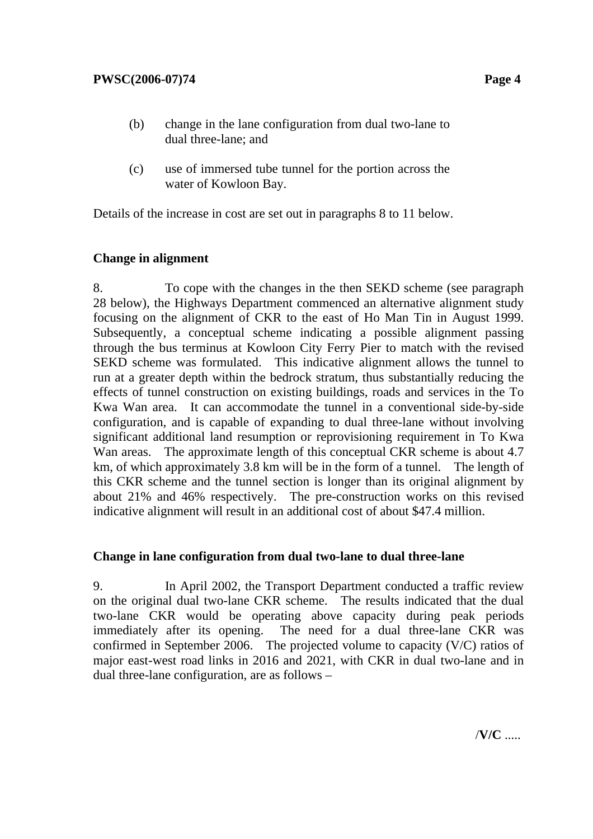- (b) change in the lane configuration from dual two-lane to dual three-lane; and
- (c) use of immersed tube tunnel for the portion across the water of Kowloon Bay.

Details of the increase in cost are set out in paragraphs 8 to 11 below.

# **Change in alignment**

8. To cope with the changes in the then SEKD scheme (see paragraph 28 below), the Highways Department commenced an alternative alignment study focusing on the alignment of CKR to the east of Ho Man Tin in August 1999. Subsequently, a conceptual scheme indicating a possible alignment passing through the bus terminus at Kowloon City Ferry Pier to match with the revised SEKD scheme was formulated. This indicative alignment allows the tunnel to run at a greater depth within the bedrock stratum, thus substantially reducing the effects of tunnel construction on existing buildings, roads and services in the To Kwa Wan area. It can accommodate the tunnel in a conventional side-by-side configuration, and is capable of expanding to dual three-lane without involving significant additional land resumption or reprovisioning requirement in To Kwa Wan areas. The approximate length of this conceptual CKR scheme is about 4.7 km, of which approximately 3.8 km will be in the form of a tunnel. The length of this CKR scheme and the tunnel section is longer than its original alignment by about 21% and 46% respectively. The pre-construction works on this revised indicative alignment will result in an additional cost of about \$47.4 million.

# **Change in lane configuration from dual two-lane to dual three-lane**

9. In April 2002, the Transport Department conducted a traffic review on the original dual two-lane CKR scheme. The results indicated that the dual two-lane CKR would be operating above capacity during peak periods immediately after its opening. The need for a dual three-lane CKR was confirmed in September 2006. The projected volume to capacity (V/C) ratios of major east-west road links in 2016 and 2021, with CKR in dual two-lane and in dual three-lane configuration, are as follows –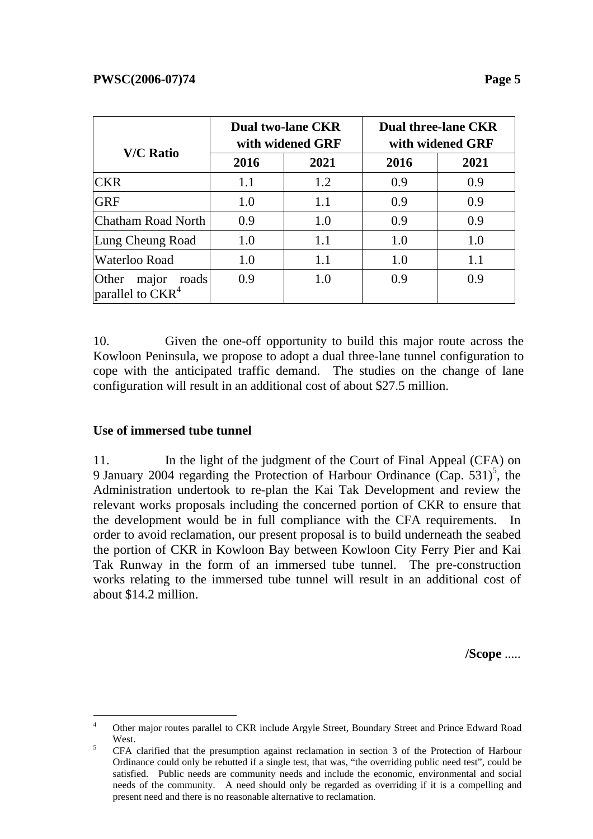|                                            |      | <b>Dual two-lane CKR</b><br>with widened GRF | <b>Dual three-lane CKR</b><br>with widened GRF |      |  |
|--------------------------------------------|------|----------------------------------------------|------------------------------------------------|------|--|
| <b>V/C Ratio</b>                           | 2016 | 2021                                         | 2016                                           | 2021 |  |
| <b>CKR</b>                                 | 1.1  | 1.2                                          | 0.9                                            | 0.9  |  |
| <b>GRF</b>                                 | 1.0  | 1.1                                          | 0.9                                            | 0.9  |  |
| Chatham Road North                         | 0.9  | 1.0                                          | 0.9                                            | 0.9  |  |
| Lung Cheung Road                           | 1.0  | 1.1                                          | 1.0                                            | 1.0  |  |
| Waterloo Road                              | 1.0  | 1.1                                          | 1.0                                            | 1.1  |  |
| Other<br>major roads<br>parallel to $CKR4$ | 0.9  | 1.0                                          | 0.9                                            | 0.9  |  |

10. Given the one-off opportunity to build this major route across the Kowloon Peninsula, we propose to adopt a dual three-lane tunnel configuration to cope with the anticipated traffic demand. The studies on the change of lane configuration will result in an additional cost of about \$27.5 million.

# **Use of immersed tube tunnel**

 $\overline{a}$ 

11. In the light of the judgment of the Court of Final Appeal (CFA) on 9 January 2004 regarding the Protection of Harbour Ordinance  $(\text{Cap. } 531)^5$ , the Administration undertook to re-plan the Kai Tak Development and review the relevant works proposals including the concerned portion of CKR to ensure that the development would be in full compliance with the CFA requirements. In order to avoid reclamation, our present proposal is to build underneath the seabed the portion of CKR in Kowloon Bay between Kowloon City Ferry Pier and Kai Tak Runway in the form of an immersed tube tunnel. The pre-construction works relating to the immersed tube tunnel will result in an additional cost of about \$14.2 million.

**/Scope** .....

<sup>4</sup> Other major routes parallel to CKR include Argyle Street, Boundary Street and Prince Edward Road  $West.$ 

CFA clarified that the presumption against reclamation in section 3 of the Protection of Harbour Ordinance could only be rebutted if a single test, that was, "the overriding public need test", could be satisfied. Public needs are community needs and include the economic, environmental and social needs of the community. A need should only be regarded as overriding if it is a compelling and present need and there is no reasonable alternative to reclamation.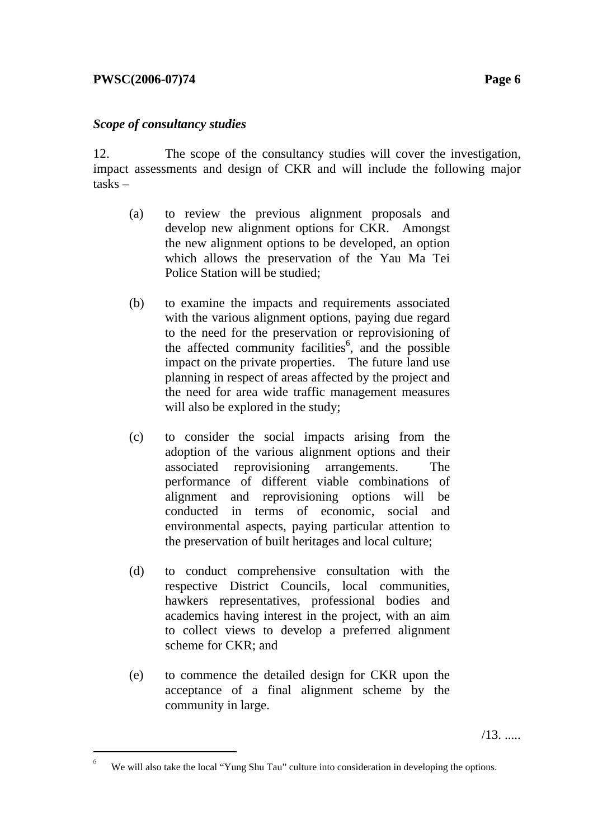# **PWSC(2006-07)74** Page 6

l

# *Scope of consultancy studies*

12. The scope of the consultancy studies will cover the investigation, impact assessments and design of CKR and will include the following major tasks –

- (a) to review the previous alignment proposals and develop new alignment options for CKR. Amongst the new alignment options to be developed, an option which allows the preservation of the Yau Ma Tei Police Station will be studied;
- (b) to examine the impacts and requirements associated with the various alignment options, paying due regard to the need for the preservation or reprovisioning of the affected community facilities<sup> $6$ </sup>, and the possible impact on the private properties. The future land use planning in respect of areas affected by the project and the need for area wide traffic management measures will also be explored in the study;
- (c) to consider the social impacts arising from the adoption of the various alignment options and their associated reprovisioning arrangements. The performance of different viable combinations of alignment and reprovisioning options will be conducted in terms of economic, social and environmental aspects, paying particular attention to the preservation of built heritages and local culture;
- (d) to conduct comprehensive consultation with the respective District Councils, local communities, hawkers representatives, professional bodies and academics having interest in the project, with an aim to collect views to develop a preferred alignment scheme for CKR; and
- (e) to commence the detailed design for CKR upon the acceptance of a final alignment scheme by the community in large.

<sup>6</sup> We will also take the local "Yung Shu Tau" culture into consideration in developing the options.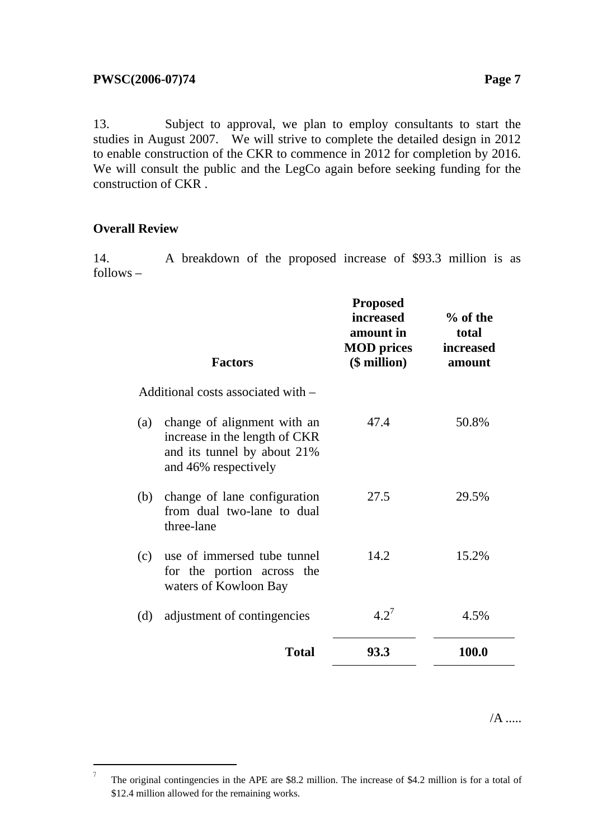13. Subject to approval, we plan to employ consultants to start the studies in August 2007. We will strive to complete the detailed design in 2012 to enable construction of the CKR to commence in 2012 for completion by 2016. We will consult the public and the LegCo again before seeking funding for the construction of CKR .

# **Overall Review**

 $\overline{a}$ 

14. A breakdown of the proposed increase of \$93.3 million is as follows –

|     | <b>Factors</b>                                                                                                      | <b>Proposed</b><br><i>increased</i><br>amount in<br><b>MOD</b> prices<br>$$$ million $)$ | $%$ of the<br>total<br>increased<br>amount |
|-----|---------------------------------------------------------------------------------------------------------------------|------------------------------------------------------------------------------------------|--------------------------------------------|
|     | Additional costs associated with –                                                                                  |                                                                                          |                                            |
| (a) | change of alignment with an<br>increase in the length of CKR<br>and its tunnel by about 21%<br>and 46% respectively | 47.4                                                                                     | 50.8%                                      |
| (b) | change of lane configuration<br>from dual two-lane to dual<br>three-lane                                            | 27.5                                                                                     | 29.5%                                      |
| (c) | use of immersed tube tunnel<br>for the portion across the<br>waters of Kowloon Bay                                  | 14.2                                                                                     | 15.2%                                      |
| (d) | adjustment of contingencies                                                                                         | $4.2^7$                                                                                  | 4.5%                                       |
|     | <b>Total</b>                                                                                                        | 93.3                                                                                     | 100.0                                      |
|     |                                                                                                                     |                                                                                          |                                            |

<sup>7</sup> The original contingencies in the APE are \$8.2 million. The increase of \$4.2 million is for a total of \$12.4 million allowed for the remaining works.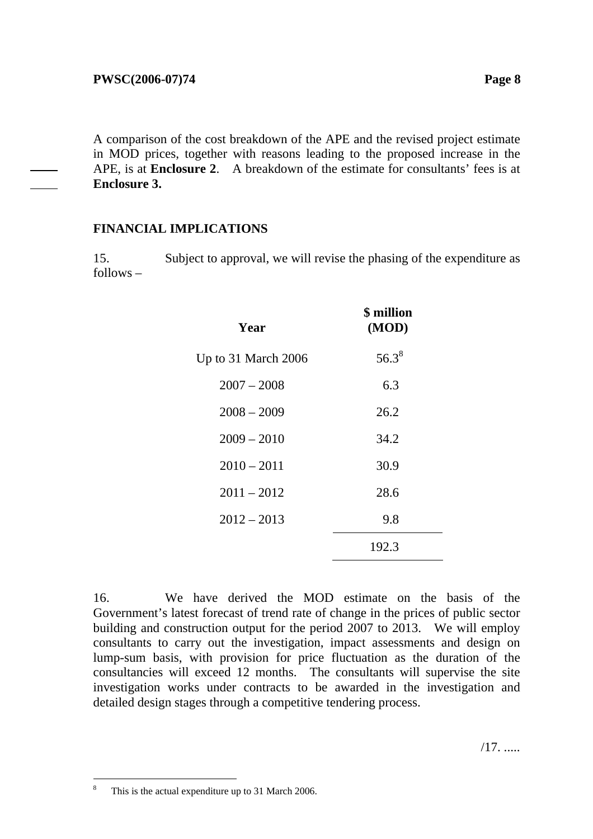A comparison of the cost breakdown of the APE and the revised project estimate in MOD prices, together with reasons leading to the proposed increase in the APE, is at **Enclosure 2**. A breakdown of the estimate for consultants' fees is at **Enclosure 3.**

# **FINANCIAL IMPLICATIONS**

15. Subject to approval, we will revise the phasing of the expenditure as follows –

| Year                | \$ million<br>(MOD) |
|---------------------|---------------------|
| Up to 31 March 2006 | $56.3^8$            |
| $2007 - 2008$       | 6.3                 |
| $2008 - 2009$       | 26.2                |
| $2009 - 2010$       | 34.2                |
| $2010 - 2011$       | 30.9                |
| $2011 - 2012$       | 28.6                |
| $2012 - 2013$       | 9.8                 |
|                     | 192.3               |
|                     |                     |

16. We have derived the MOD estimate on the basis of the Government's latest forecast of trend rate of change in the prices of public sector building and construction output for the period 2007 to 2013. We will employ consultants to carry out the investigation, impact assessments and design on lump-sum basis, with provision for price fluctuation as the duration of the consultancies will exceed 12 months. The consultants will supervise the site investigation works under contracts to be awarded in the investigation and detailed design stages through a competitive tendering process.

 $\overline{a}$ 8 This is the actual expenditure up to 31 March 2006.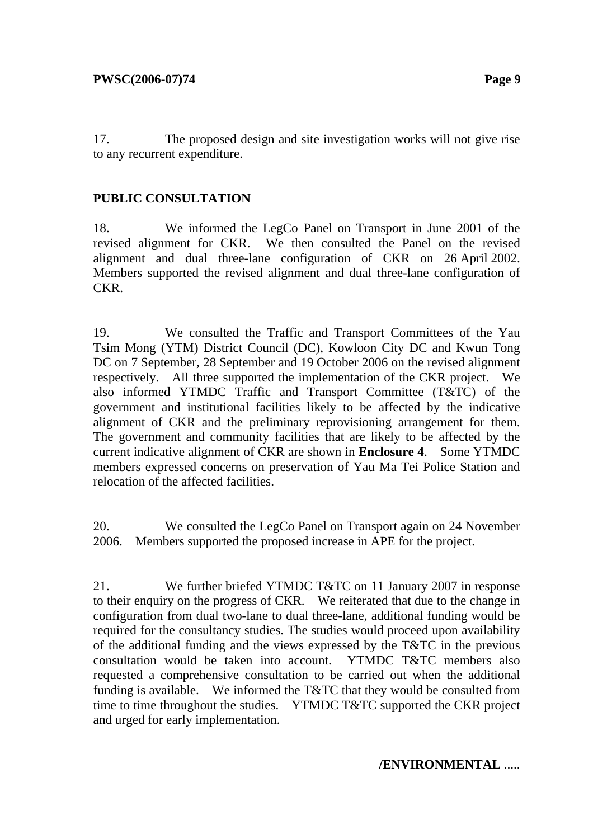17. The proposed design and site investigation works will not give rise to any recurrent expenditure.

# **PUBLIC CONSULTATION**

18. We informed the LegCo Panel on Transport in June 2001 of the revised alignment for CKR. We then consulted the Panel on the revised alignment and dual three-lane configuration of CKR on 26 April 2002. Members supported the revised alignment and dual three-lane configuration of CKR.

19. We consulted the Traffic and Transport Committees of the Yau Tsim Mong (YTM) District Council (DC), Kowloon City DC and Kwun Tong DC on 7 September, 28 September and 19 October 2006 on the revised alignment respectively. All three supported the implementation of the CKR project. We also informed YTMDC Traffic and Transport Committee (T&TC) of the government and institutional facilities likely to be affected by the indicative alignment of CKR and the preliminary reprovisioning arrangement for them. The government and community facilities that are likely to be affected by the current indicative alignment of CKR are shown in **Enclosure 4**. Some YTMDC members expressed concerns on preservation of Yau Ma Tei Police Station and relocation of the affected facilities.

20. We consulted the LegCo Panel on Transport again on 24 November 2006. Members supported the proposed increase in APE for the project.

21. We further briefed YTMDC T&TC on 11 January 2007 in response to their enquiry on the progress of CKR. We reiterated that due to the change in configuration from dual two-lane to dual three-lane, additional funding would be required for the consultancy studies. The studies would proceed upon availability of the additional funding and the views expressed by the T&TC in the previous consultation would be taken into account. YTMDC T&TC members also requested a comprehensive consultation to be carried out when the additional funding is available. We informed the T&TC that they would be consulted from time to time throughout the studies. YTMDC T&TC supported the CKR project and urged for early implementation.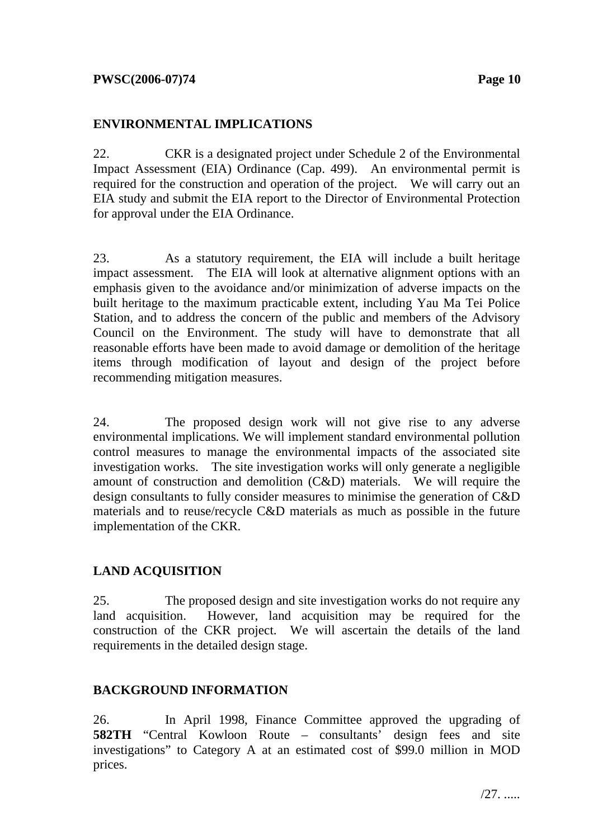# **ENVIRONMENTAL IMPLICATIONS**

22. CKR is a designated project under Schedule 2 of the Environmental Impact Assessment (EIA) Ordinance (Cap. 499). An environmental permit is required for the construction and operation of the project. We will carry out an EIA study and submit the EIA report to the Director of Environmental Protection for approval under the EIA Ordinance.

23. As a statutory requirement, the EIA will include a built heritage impact assessment. The EIA will look at alternative alignment options with an emphasis given to the avoidance and/or minimization of adverse impacts on the built heritage to the maximum practicable extent, including Yau Ma Tei Police Station, and to address the concern of the public and members of the Advisory Council on the Environment. The study will have to demonstrate that all reasonable efforts have been made to avoid damage or demolition of the heritage items through modification of layout and design of the project before recommending mitigation measures.

24. The proposed design work will not give rise to any adverse environmental implications. We will implement standard environmental pollution control measures to manage the environmental impacts of the associated site investigation works. The site investigation works will only generate a negligible amount of construction and demolition (C&D) materials. We will require the design consultants to fully consider measures to minimise the generation of C&D materials and to reuse/recycle C&D materials as much as possible in the future implementation of the CKR.

# **LAND ACQUISITION**

25. The proposed design and site investigation works do not require any land acquisition. However, land acquisition may be required for the construction of the CKR project. We will ascertain the details of the land requirements in the detailed design stage.

# **BACKGROUND INFORMATION**

26. In April 1998, Finance Committee approved the upgrading of **582TH** "Central Kowloon Route – consultants' design fees and site investigations" to Category A at an estimated cost of \$99.0 million in MOD prices.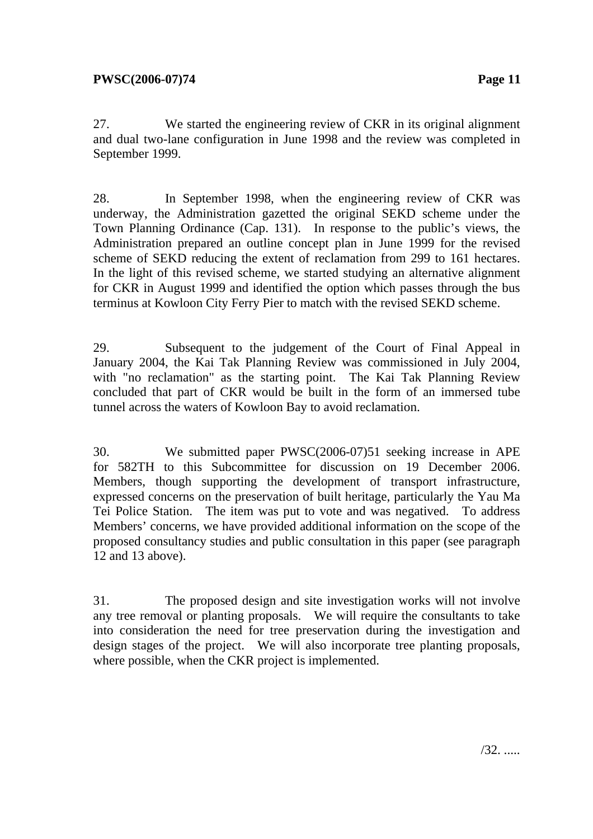27. We started the engineering review of CKR in its original alignment and dual two-lane configuration in June 1998 and the review was completed in September 1999.

28. In September 1998, when the engineering review of CKR was underway, the Administration gazetted the original SEKD scheme under the Town Planning Ordinance (Cap. 131). In response to the public's views, the Administration prepared an outline concept plan in June 1999 for the revised scheme of SEKD reducing the extent of reclamation from 299 to 161 hectares. In the light of this revised scheme, we started studying an alternative alignment for CKR in August 1999 and identified the option which passes through the bus terminus at Kowloon City Ferry Pier to match with the revised SEKD scheme.

29. Subsequent to the judgement of the Court of Final Appeal in January 2004, the Kai Tak Planning Review was commissioned in July 2004, with "no reclamation" as the starting point. The Kai Tak Planning Review concluded that part of CKR would be built in the form of an immersed tube tunnel across the waters of Kowloon Bay to avoid reclamation.

30. We submitted paper PWSC(2006-07)51 seeking increase in APE for 582TH to this Subcommittee for discussion on 19 December 2006. Members, though supporting the development of transport infrastructure, expressed concerns on the preservation of built heritage, particularly the Yau Ma Tei Police Station. The item was put to vote and was negatived. To address Members' concerns, we have provided additional information on the scope of the proposed consultancy studies and public consultation in this paper (see paragraph 12 and 13 above).

31. The proposed design and site investigation works will not involve any tree removal or planting proposals. We will require the consultants to take into consideration the need for tree preservation during the investigation and design stages of the project. We will also incorporate tree planting proposals, where possible, when the CKR project is implemented.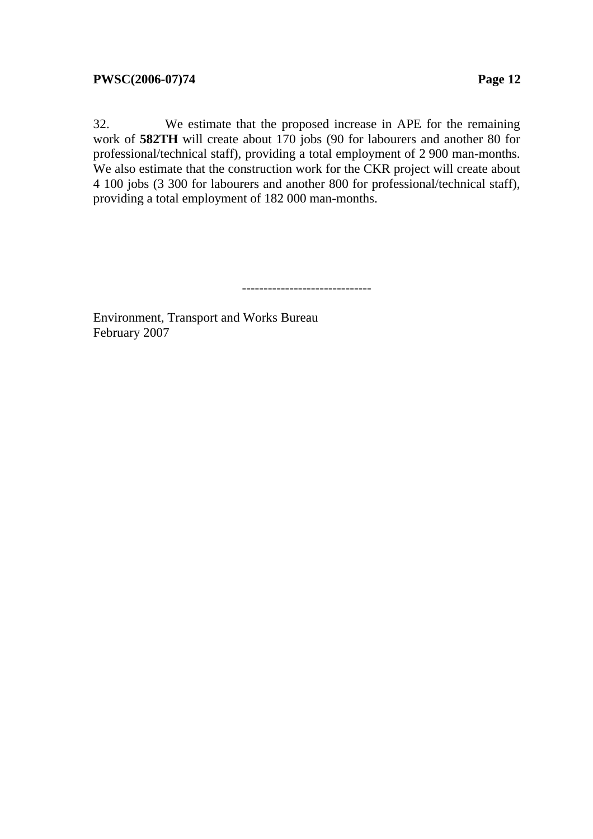32. We estimate that the proposed increase in APE for the remaining work of **582TH** will create about 170 jobs (90 for labourers and another 80 for professional/technical staff), providing a total employment of 2 900 man-months. We also estimate that the construction work for the CKR project will create about 4 100 jobs (3 300 for labourers and another 800 for professional/technical staff), providing a total employment of 182 000 man-months.

------------------------------

Environment, Transport and Works Bureau February 2007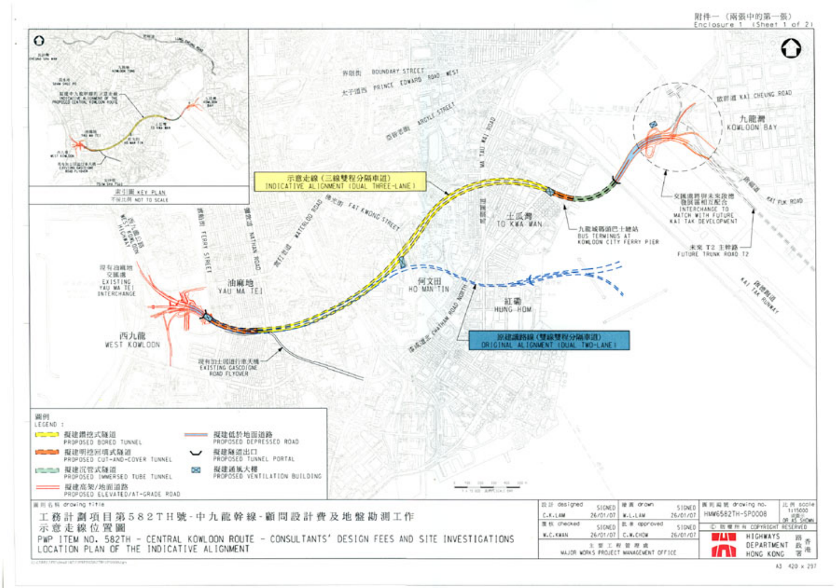

附件一 (兩張中的第一張)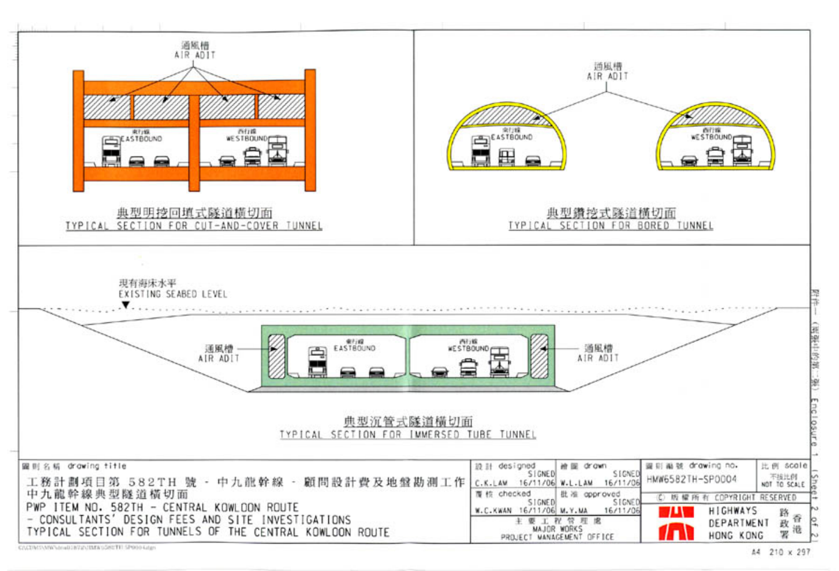

A4 210 x 297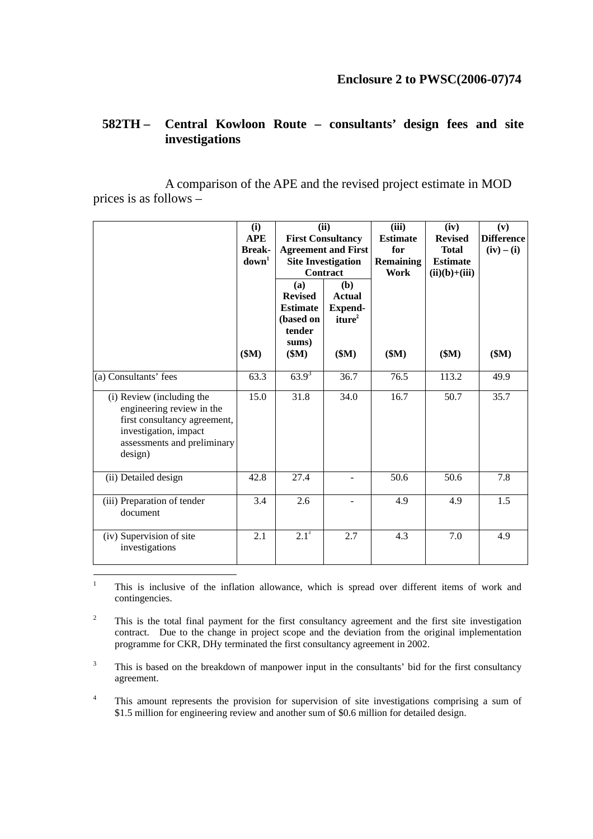#### **582TH – Central Kowloon Route – consultants' design fees and site investigations**

 A comparison of the APE and the revised project estimate in MOD prices is as follows –

|                                                                                                                                                           | (i)<br><b>APE</b><br><b>Break-</b><br>down <sup>1</sup> | (ii)<br><b>First Consultancy</b><br><b>Agreement and First</b><br><b>Site Investigation</b><br>Contract |                                                                       | (iii)<br><b>Estimate</b><br>for<br><b>Remaining</b><br>Work | (iv)<br><b>Revised</b><br><b>Total</b><br><b>Estimate</b><br>$(ii)(b)+(iii)$ | (v)<br><b>Difference</b><br>$(iv) - (i)$ |
|-----------------------------------------------------------------------------------------------------------------------------------------------------------|---------------------------------------------------------|---------------------------------------------------------------------------------------------------------|-----------------------------------------------------------------------|-------------------------------------------------------------|------------------------------------------------------------------------------|------------------------------------------|
|                                                                                                                                                           | \$M\$                                                   | (a)<br><b>Revised</b><br><b>Estimate</b><br>(based on<br>tender<br>sums)<br>\$M\$                       | (b)<br><b>Actual</b><br><b>Expend-</b><br>iture <sup>2</sup><br>\$M\$ | \$M\$                                                       | \$M\$                                                                        | \$M\$                                    |
| (a) Consultants' fees                                                                                                                                     | 63.3                                                    | $63.9^{3}$                                                                                              | 36.7                                                                  | 76.5                                                        | 113.2                                                                        | 49.9                                     |
| (i) Review (including the<br>engineering review in the<br>first consultancy agreement,<br>investigation, impact<br>assessments and preliminary<br>design) | 15.0                                                    | 31.8                                                                                                    | 34.0                                                                  | 16.7                                                        | 50.7                                                                         | 35.7                                     |
| (ii) Detailed design                                                                                                                                      | 42.8                                                    | 27.4                                                                                                    |                                                                       | 50.6                                                        | 50.6                                                                         | 7.8                                      |
| (iii) Preparation of tender<br>document                                                                                                                   | 3.4                                                     | 2.6                                                                                                     |                                                                       | 4.9                                                         | 4.9                                                                          | 1.5                                      |
| (iv) Supervision of site<br>investigations                                                                                                                | 2.1                                                     | $2.1^4$                                                                                                 | 2.7                                                                   | 4.3                                                         | 7.0                                                                          | 4.9                                      |

 $\frac{1}{1}$  This is inclusive of the inflation allowance, which is spread over different items of work and contingencies.

2 This is the total final payment for the first consultancy agreement and the first site investigation contract. Due to the change in project scope and the deviation from the original implementation programme for CKR, DHy terminated the first consultancy agreement in 2002.

3 This is based on the breakdown of manpower input in the consultants' bid for the first consultancy agreement.

4 This amount represents the provision for supervision of site investigations comprising a sum of \$1.5 million for engineering review and another sum of \$0.6 million for detailed design.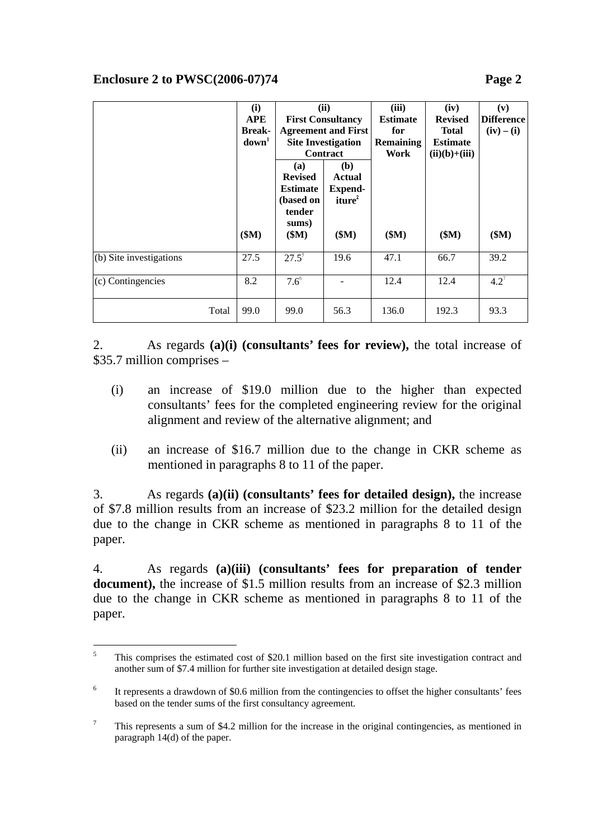|                           | (i)               | (ii)                      |                            | (iii)            | (iv)            | (v)               |
|---------------------------|-------------------|---------------------------|----------------------------|------------------|-----------------|-------------------|
|                           | <b>APE</b>        | <b>First Consultancy</b>  |                            | <b>Estimate</b>  | <b>Revised</b>  | <b>Difference</b> |
|                           | <b>Break-</b>     |                           | <b>Agreement and First</b> | for              | <b>Total</b>    | $(iv) - (i)$      |
|                           | down <sup>1</sup> | <b>Site Investigation</b> |                            | <b>Remaining</b> | <b>Estimate</b> |                   |
|                           |                   | <b>Contract</b>           |                            | Work             | $(ii)(b)+(iii)$ |                   |
|                           |                   | <b>(a)</b>                | ( <b>b</b> )               |                  |                 |                   |
|                           |                   | <b>Revised</b>            | Actual                     |                  |                 |                   |
|                           |                   | <b>Estimate</b>           | <b>Expend-</b>             |                  |                 |                   |
|                           |                   | (based on                 | iture <sup>2</sup>         |                  |                 |                   |
|                           |                   | tender                    |                            |                  |                 |                   |
|                           |                   | sums)                     |                            |                  |                 |                   |
|                           | \$M\$             | \$M\$                     | \$M\$                      | \$M\$            | \$M\$           | \$M\$             |
|                           |                   |                           |                            |                  |                 |                   |
| $(b)$ Site investigations | 27.5              | $27.5^{5}$                | 19.6                       | 47.1             | 66.7            | 39.2              |
| (c) Contingencies         | 8.2               | $7.6^{\circ}$             |                            | 12.4             | 12.4            | $4.2^7$           |
|                           |                   |                           |                            |                  |                 |                   |
| Total                     | 99.0              | 99.0                      | 56.3                       | 136.0            | 192.3           | 93.3              |
|                           |                   |                           |                            |                  |                 |                   |

2. As regards **(a)(i) (consultants' fees for review),** the total increase of \$35.7 million comprises –

- (i) an increase of \$19.0 million due to the higher than expected consultants' fees for the completed engineering review for the original alignment and review of the alternative alignment; and
- (ii) an increase of \$16.7 million due to the change in CKR scheme as mentioned in paragraphs 8 to 11 of the paper.

3. As regards **(a)(ii) (consultants' fees for detailed design),** the increase of \$7.8 million results from an increase of \$23.2 million for the detailed design due to the change in CKR scheme as mentioned in paragraphs 8 to 11 of the paper.

4. As regards **(a)(iii) (consultants' fees for preparation of tender document),** the increase of \$1.5 million results from an increase of \$2.3 million due to the change in CKR scheme as mentioned in paragraphs 8 to 11 of the paper.

 $\frac{1}{5}$  This comprises the estimated cost of \$20.1 million based on the first site investigation contract and another sum of \$7.4 million for further site investigation at detailed design stage.

<sup>6</sup> It represents a drawdown of \$0.6 million from the contingencies to offset the higher consultants' fees based on the tender sums of the first consultancy agreement.

<sup>7</sup> This represents a sum of \$4.2 million for the increase in the original contingencies, as mentioned in paragraph 14(d) of the paper.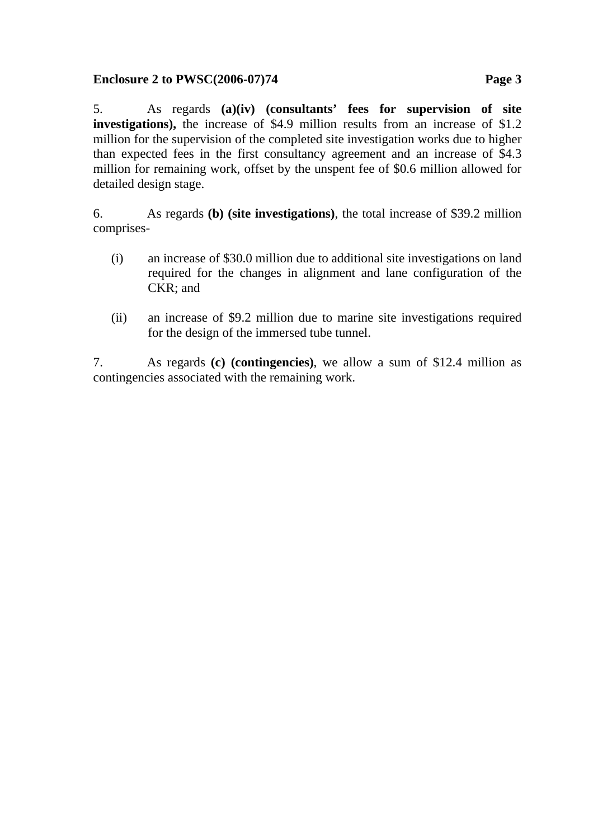# **Enclosure 2 to PWSC(2006-07)74 Page 3**

5. As regards **(a)(iv) (consultants' fees for supervision of site investigations**), the increase of \$4.9 million results from an increase of \$1.2 million for the supervision of the completed site investigation works due to higher than expected fees in the first consultancy agreement and an increase of \$4.3 million for remaining work, offset by the unspent fee of \$0.6 million allowed for detailed design stage.

6. As regards **(b) (site investigations)**, the total increase of \$39.2 million comprises-

- (i) an increase of \$30.0 million due to additional site investigations on land required for the changes in alignment and lane configuration of the CKR; and
- (ii) an increase of \$9.2 million due to marine site investigations required for the design of the immersed tube tunnel.

7. As regards **(c) (contingencies)**, we allow a sum of \$12.4 million as contingencies associated with the remaining work.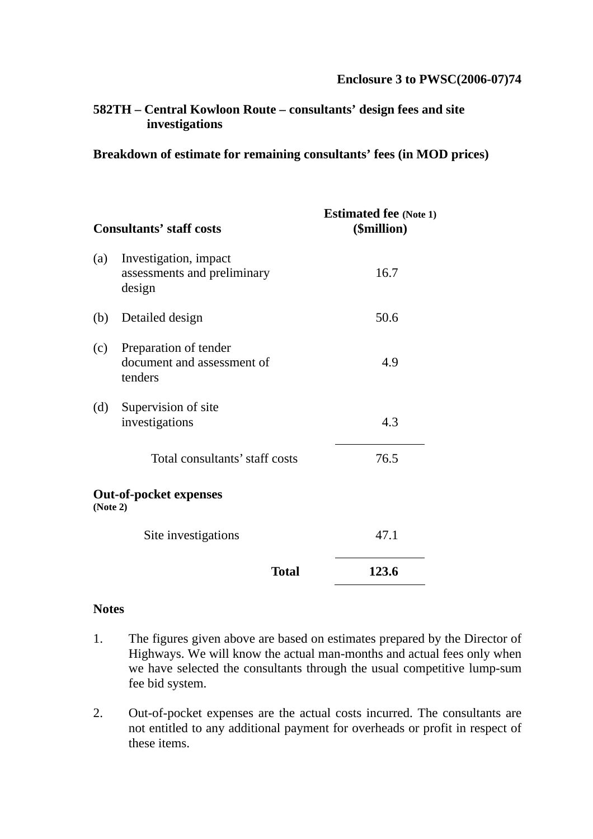# **582TH – Central Kowloon Route – consultants' design fees and site investigations**

#### **Breakdown of estimate for remaining consultants' fees (in MOD prices)**

|          | <b>Consultants' staff costs</b>                                | <b>Estimated fee</b> (Note 1)<br>(\$million) |
|----------|----------------------------------------------------------------|----------------------------------------------|
| (a)      | Investigation, impact<br>assessments and preliminary<br>design | 16.7                                         |
| (b)      | Detailed design                                                | 50.6                                         |
| (c)      | Preparation of tender<br>document and assessment of<br>tenders | 4.9                                          |
| (d)      | Supervision of site<br>investigations                          | 4.3                                          |
|          | Total consultants' staff costs                                 | 76.5                                         |
| (Note 2) | <b>Out-of-pocket expenses</b>                                  |                                              |
|          | Site investigations                                            | 47.1                                         |
|          | Total                                                          | 123.6                                        |

#### **Notes**

- 1. The figures given above are based on estimates prepared by the Director of Highways. We will know the actual man-months and actual fees only when we have selected the consultants through the usual competitive lump-sum fee bid system.
- 2. Out-of-pocket expenses are the actual costs incurred. The consultants are not entitled to any additional payment for overheads or profit in respect of these items.